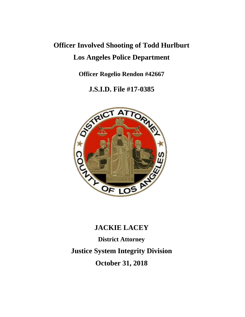# **Officer Involved Shooting of Todd Hurlburt Los Angeles Police Department**

**Officer Rogelio Rendon #42667**

**J.S.I.D. File #17-0385**



# **JACKIE LACEY**

**District Attorney Justice System Integrity Division October 31, 2018**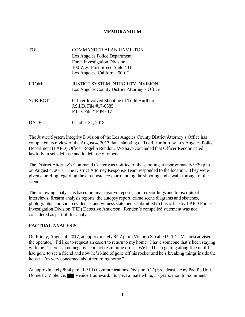#### **MEMORANDUM**

| TO:             | <b>COMMANDER ALAN HAMILTON</b><br>Los Angeles Police Department<br>Force Investigation Division<br>100 West First Street, Suite 431<br>Los Angeles, California 90012 |
|-----------------|----------------------------------------------------------------------------------------------------------------------------------------------------------------------|
| FROM:           | JUSTICE SYSTEM INTEGRITY DIVISION<br>Los Angeles County District Attorney's Office                                                                                   |
| <b>SUBJECT:</b> | <b>Officer Involved Shooting of Todd Hurlburt</b><br>J.S.I.D. File #17-0385<br>F.I.D. File # F059-17                                                                 |
| DATE:           | October 31, 2018                                                                                                                                                     |

The Justice System Integrity Division of the Los Angeles County District Attorney's Office has completed its review of the August 4, 2017, fatal shooting of Todd Hurlburt by Los Angeles Police Department (LAPD) Officer Rogelio Rendon. We have concluded that Officer Rendon acted lawfully in self-defense and in defense of others.

The District Attorney's Command Center was notified of the shooting at approximately 9:39 p.m., on August 4, 2017. The District Attorney Response Team responded to the location. They were given a briefing regarding the circumstances surrounding the shooting and a walk-through of the scene.

The following analysis is based on investigative reports, audio recordings and transcripts of interviews, firearm analysis reports, the autopsy report, crime scene diagrams and sketches, photographic and video evidence, and witness statements submitted to this office by LAPD Force Investigation Division (FID) Detective Anderson. Rendon's compelled statement was not considered as part of this analysis.

## **FACTUAL ANALYSIS**

On Friday, August 4, 2017, at approximately 8:27 p.m., Victoria S. called 9-1-1. Victoria advised the operator, "I'd like to request an escort to return to my home. I have someone that's been staying with me. There is a no negative contact restraining order. We had been getting along fine until I had gone to see a friend and now he's kind of gone off his rocker and he's breaking things inside the house. I'm very concerned about returning home."

At approximately 8:34 p.m., LAPD Communications Division (CD) broadcast, "Any Pacific Unit, Domestic Violence, Venice Boulevard. Suspect a male white, 53 years, monitor comments."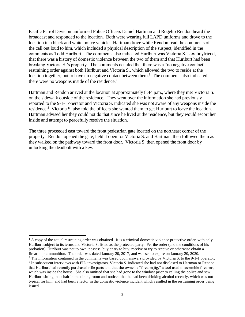Pacific Patrol Division uniformed Police Officers Daniel Hartman and Rogelio Rendon heard the broadcast and responded to the location. Both were wearing full LAPD uniforms and drove to the location in a black and white police vehicle. Hartman drove while Rendon read the comments of the call out loud to him, which included a physical description of the suspect, identified in the comments as Todd Hurlburt. The comments also indicated Hurlburt was Victoria S.'s ex-boyfriend, that there was a history of domestic violence between the two of them and that Hurlburt had been breaking Victoria S.'s property. The comments detailed that there was a "no negative contact" restraining order against both Hurlburt and Victoria S., which allowed the two to reside at the location together, but to have no negative contact between them.<sup>1</sup> The comments also indicated there were no weapons inside of the residence.<sup>2</sup>

Hartman and Rendon arrived at the location at approximately 8:44 p.m., where they met Victoria S. on the sidewalk outside of the residence. They went over the information she had previously reported to the 9-1-1 operator and Victoria S. indicated she was not aware of any weapons inside the residence.<sup>3</sup> Victoria S. also told the officers she wanted them to get Hurlburt to leave the location. Hartman advised her they could not do that since he lived at the residence, but they would escort her inside and attempt to peacefully resolve the situation.

The three proceeded east toward the front pedestrian gate located on the northeast corner of the property. Rendon opened the gate, held it open for Victoria S. and Hartman, then followed them as they walked on the pathway toward the front door. Victoria S. then opened the front door by unlocking the deadbolt with a key.

<sup>&</sup>lt;sup>1</sup> A copy of the actual restraining order was obtained. It is a criminal domestic violence protective order, with only Hurlburt subject to its terms and Victoria S. listed as the protected party. Per the order (and the conditions of his probation), Hurlburt was not to own, possess, buy or try to buy, receive or try to receive or otherwise obtain a firearm or ammunition. The order was dated January 20, 2017, and was set to expire on January 20, 2020.

<sup>&</sup>lt;sup>2</sup> The information contained in the comments was based upon answers provided by Victoria S. to the 9-1-1 operator. 3 In subsequent interviews with FID investigators, Victoria S. indicated she had not disclosed to Hartman or Rendon that Hurlburt had recently purchased rifle parts and that she owned a "firearm jig," a tool used to assemble firearms, which was inside the house. She also omitted that she had gone to the window prior to calling the police and saw Hurlburt sitting in a chair in the dining room and noticed that he had been drinking alcohol recently, which was not typical for him, and had been a factor in the domestic violence incident which resulted in the restraining order being issued.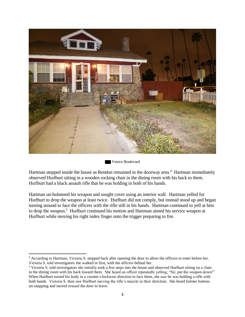

Venice Boulevard

Hartman stepped inside the house as Rendon remained in the doorway area.<sup>4</sup> Hartman immediately observed Hurlburt sitting in a wooden rocking chair in the dining room with his back to them. Hurlburt had a black assault rifle that he was holding in both of his hands.

Hartman un-holstered his weapon and sought cover using an interior wall. Hartman yelled for Hurlburt to drop the weapon at least twice. Hurlburt did not comply, but instead stood up and began turning around to face the officers with the rifle still in his hands. Hartman continued to yell at him to drop the weapon.<sup>5</sup> Hurlburt continued his motion and Hartman aimed his service weapon at Hurlburt while moving his right index finger onto the trigger preparing to fire.

 $\overline{\phantom{a}}$ <sup>4</sup> According to Hartman, Victoria S. stepped back after opening the door to allow the officers to enter before her. Victoria S. told investigators she walked in first, with the officers behind her.

<sup>5</sup> Victoria S. told investigators she initially took a few steps into the house and observed Hurlburt sitting on a chair in the dining room with his back toward them. She heard an officer repeatedly yelling, "Sir, put the weapon down!" When Hurlburt turned his body in a counter-clockwise direction to face them, she saw he was holding a rifle with both hands. Victoria S. then saw Hurlburt moving the rifle's muzzle in their direction. She heard holster buttons un-snapping and moved toward the door to leave.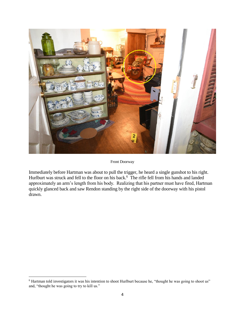

Front Doorway

Immediately before Hartman was about to pull the trigger, he heard a single gunshot to his right. Hurlburt was struck and fell to the floor on his back.<sup>6</sup> The rifle fell from his hands and landed approximately an arm's length from his body. Realizing that his partner must have fired, Hartman quickly glanced back and saw Rendon standing by the right side of the doorway with his pistol drawn.

 $\overline{\phantom{a}}$ 

<sup>&</sup>lt;sup>6</sup> Hartman told investigators it was his intention to shoot Hurlburt because he, "thought he was going to shoot us" and, "thought he was going to try to kill us."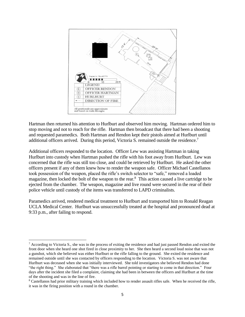

Hartman then returned his attention to Hurlburt and observed him moving. Hartman ordered him to stop moving and not to reach for the rifle. Hartman then broadcast that there had been a shooting and requested paramedics. Both Hartman and Rendon kept their pistols aimed at Hurlburt until additional officers arrived. During this period, Victoria S. remained outside the residence.<sup>7</sup>

Additional officers responded to the location. Officer Lew was assisting Hartman in taking Hurlburt into custody when Hartman pushed the rifle with his foot away from Hurlburt. Lew was concerned that the rifle was still too close, and could be retrieved by Hurlburt. He asked the other officers present if any of them knew how to render the weapon safe. Officer Michael Castellanos took possession of the weapon, placed the rifle's switch selector to "safe," removed a loaded magazine, then locked the bolt of the weapon to the rear.<sup>8</sup> This action caused a live cartridge to be ejected from the chamber. The weapon, magazine and live round were secured in the rear of their police vehicle until custody of the items was transferred to LAPD criminalists.

Paramedics arrived, rendered medical treatment to Hurlburt and transported him to Ronald Reagan UCLA Medical Center. Hurlburt was unsuccessfully treated at the hospital and pronounced dead at 9:33 p.m., after failing to respond.

 $\overline{\phantom{a}}$ 

 $7$  According to Victoria S., she was in the process of exiting the residence and had just passed Rendon and exited the front door when she heard one shot fired in close proximity to her. She then heard a second loud noise that was not a gunshot, which she believed was either Hurlburt or the rifle falling to the ground. She exited the residence and remained outside until she was contacted by officers responding to the location. Victoria S. was not aware that Hurlburt was deceased when she was initially interviewed. She told investigators she believed Rendon had done "the right thing." She elaborated that "there was a rifle barrel pointing or starting to come in that direction." Four days after the incident she filed a complaint, claiming she had been in between the officers and Hurlburt at the time of the shooting and was in the line of fire.

<sup>8</sup> Castellanos had prior military training which included how to render assault rifles safe. When he received the rifle, it was in the firing position with a round in the chamber.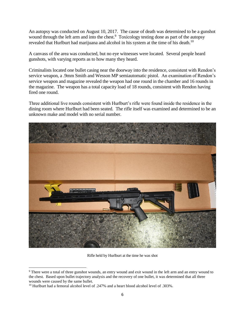An autopsy was conducted on August 10, 2017. The cause of death was determined to be a gunshot wound through the left arm and into the chest.<sup>9</sup> Toxicology testing done as part of the autopsy revealed that Hurlburt had marijuana and alcohol in his system at the time of his death.<sup>10</sup>

A canvass of the area was conducted, but no eye witnesses were located. Several people heard gunshots, with varying reports as to how many they heard.

Criminalists located one bullet casing near the doorway into the residence, consistent with Rendon's service weapon, a .9mm Smith and Wesson MP semiautomatic pistol. An examination of Rendon's service weapon and magazine revealed the weapon had one round in the chamber and 16 rounds in the magazine. The weapon has a total capacity load of 18 rounds, consistent with Rendon having fired one round.

Three additional live rounds consistent with Hurlburt's rifle were found inside the residence in the dining room where Hurlburt had been seated. The rifle itself was examined and determined to be an unknown make and model with no serial number.



Rifle held by Hurlburt at the time he was shot

 $\overline{\phantom{a}}$ <sup>9</sup> There were a total of three gunshot wounds, an entry wound and exit wound in the left arm and an entry wound to the chest. Based upon bullet trajectory analysis and the recovery of one bullet, it was determined that all three wounds were caused by the same bullet.

<sup>&</sup>lt;sup>10</sup> Hurlburt had a femoral alcohol level of .247% and a heart blood alcohol level of .303%.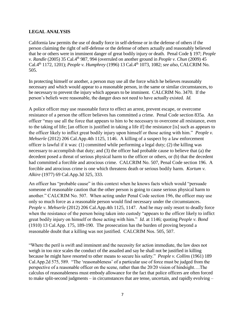## **LEGAL ANALYSIS**

California law permits the use of deadly force in self-defense or in the defense of others if the person claiming the right of self-defense or the defense of others actually and reasonably believed that he or others were in imminent danger of great bodily injury or death. Penal Code § 197; *People v. Randle* (2005) 35 Cal.4<sup>th</sup> 987, 994 (overruled on another ground in *People v. Chun* (2009) 45 Cal.4th 1172, 1201); *People v. Humphrey* (1996) 13 Cal.4th 1073, 1082; *see also,* CALCRIM No. 505.

In protecting himself or another, a person may use all the force which he believes reasonably necessary and which would appear to a reasonable person, in the same or similar circumstances, to be necessary to prevent the injury which appears to be imminent. CALCRIM No. 3470. If the person's beliefs were reasonable, the danger does not need to have actually existed. *Id.*

A police officer may use reasonable force to effect an arrest, prevent escape, or overcome resistance of a person the officer believes has committed a crime. Penal Code section 835a. An officer "may use all the force that appears to him to be necessary to overcome all resistance, even to the taking of life; [an officer is justified in taking a life if] the resistance [is] such as appears to the officer likely to inflict great bodily injury upon himself or those acting with him." *People v. Mehserle* (2012) 206 Cal.App.4th 1125, 1146. A killing of a suspect by a law enforcement officer is lawful if it was: (1) committed while performing a legal duty; (2) the killing was necessary to accomplish that duty; and (3) the officer had probable cause to believe that (a) the decedent posed a threat of serious physical harm to the officer or others, or (b) that the decedent had committed a forcible and atrocious crime. CALCRIM No. 507, Penal Code section 196. A forcible and atrocious crime is one which threatens death or serious bodily harm. *Kortum v. Alkire* (1977) 69 Cal.App.3d 325, 333.

An officer has "probable cause" in this context when he knows facts which would "persuade someone of reasonable caution that the other person is going to cause serious physical harm to another." CALCRIM No. 507. When acting under Penal Code section 196, the officer may use only so much force as a reasonable person would find necessary under the circumstances. *People v. Mehserle* (2012) 206 Cal.App.4th 1125, 1147. And he may only resort to deadly force when the resistance of the person being taken into custody "appears to the officer likely to inflict great bodily injury on himself or those acting with him." *Id.* at 1146; quoting *People v. Bond* (1910) 13 Cal.App. 175, 189-190. The prosecution has the burden of proving beyond a reasonable doubt that a killing was not justified. CALCRIM Nos. 505, 507.

"Where the peril is swift and imminent and the necessity for action immediate, the law does not weigh in too nice scales the conduct of the assailed and say he shall not be justified in killing because he might have resorted to other means to secure his safety." *People v. Collins* (1961) 189 Cal.App.2d 575, 589. "The 'reasonableness' of a particular use of force must be judged from the perspective of a reasonable officer on the scene, rather than the 20/20 vision of hindsight….The calculus of reasonableness must embody allowance for the fact that police officers are often forced to make split-second judgments – in circumstances that are tense, uncertain, and rapidly evolving –